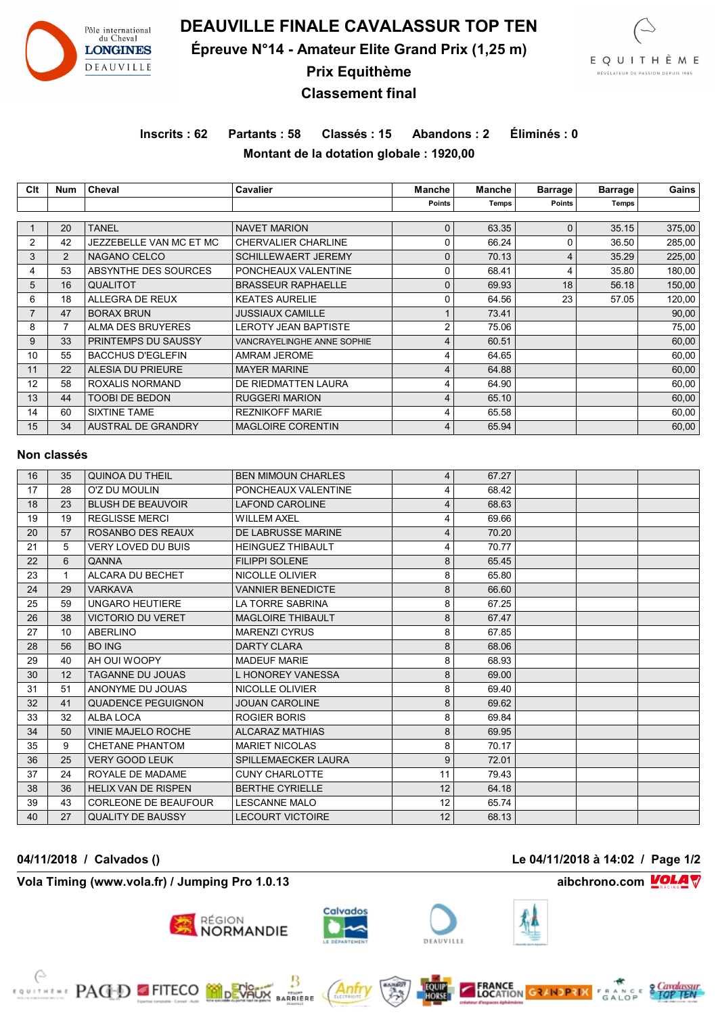

**DEAUVILLE FINALE CAVALASSUR TOP TEN**

**Épreuve N°14 - Amateur Elite Grand Prix (1,25 m)**



**Prix Equithème**

## **Classement final**

# **Inscrits : 62 Partants : 58 Classés : 15 Abandons : 2 Éliminés : 0 Montant de la dotation globale : 1920,00**

| Clt | <b>Num</b>     | Cheval                    | <b>Cavalier</b>            | Manche        | Manche | <b>Barrage</b> | <b>Barrage</b> | Gains  |
|-----|----------------|---------------------------|----------------------------|---------------|--------|----------------|----------------|--------|
|     |                |                           |                            | <b>Points</b> | Temps! | <b>Points</b>  | Temps          |        |
|     |                |                           |                            |               |        |                |                |        |
|     | 20             | <b>TANEL</b>              | <b>NAVET MARION</b>        | 0             | 63.35  | 0              | 35.15          | 375,00 |
| 2   | 42             | JEZZEBELLE VAN MC ET MC   | <b>CHERVALIER CHARLINE</b> | 0             | 66.24  | 0              | 36.50          | 285,00 |
| 3   | $\overline{2}$ | NAGANO CELCO              | <b>SCHILLEWAERT JEREMY</b> | $\mathbf{0}$  | 70.13  | 4              | 35.29          | 225,00 |
| 4   | 53             | ABSYNTHE DES SOURCES      | PONCHEAUX VALENTINE        | 0             | 68.41  | 4              | 35.80          | 180,00 |
| 5   | 16             | QUALITOT                  | <b>BRASSEUR RAPHAELLE</b>  | $\mathbf{0}$  | 69.93  | 18             | 56.18          | 150,00 |
| 6   | 18             | ALLEGRA DE REUX           | <b>KEATES AURELIE</b>      | 0             | 64.56  | 23             | 57.05          | 120,00 |
|     | 47             | <b>BORAX BRUN</b>         | <b>JUSSIAUX CAMILLE</b>    |               | 73.41  |                |                | 90,00  |
| 8   |                | <b>ALMA DES BRUYERES</b>  | LEROTY JEAN BAPTISTE       | 2             | 75.06  |                |                | 75,00  |
| 9   | 33             | PRINTEMPS DU SAUSSY       | VANCRAYELINGHE ANNE SOPHIE | 4             | 60.51  |                |                | 60,00  |
| 10  | 55             | <b>BACCHUS D'EGLEFIN</b>  | AMRAM JEROME               | 4             | 64.65  |                |                | 60,00  |
| 11  | 22             | <b>ALESIA DU PRIEURE</b>  | <b>MAYER MARINE</b>        | 4             | 64.88  |                |                | 60,00  |
| 12  | 58             | ROXALIS NORMAND           | DE RIEDMATTEN LAURA        | 4             | 64.90  |                |                | 60,00  |
| 13  | 44             | <b>TOOBI DE BEDON</b>     | <b>RUGGERI MARION</b>      | 4             | 65.10  |                |                | 60,00  |
| 14  | 60             | SIXTINE TAME              | <b>REZNIKOFF MARIE</b>     | 4             | 65.58  |                |                | 60,00  |
| 15  | 34             | <b>AUSTRAL DE GRANDRY</b> | <b>MAGLOIRE CORENTIN</b>   | 4             | 65.94  |                |                | 60,00  |

### **Non classés**

| 16 | 35 | QUINOA DU THEIL             | <b>BEN MIMOUN CHARLES</b> | 4  | 67.27 |  |  |
|----|----|-----------------------------|---------------------------|----|-------|--|--|
| 17 | 28 | O'Z DU MOULIN               | PONCHEAUX VALENTINE       | 4  | 68.42 |  |  |
| 18 | 23 | <b>BLUSH DE BEAUVOIR</b>    | <b>LAFOND CAROLINE</b>    | 4  | 68.63 |  |  |
| 19 | 19 | <b>REGLISSE MERCI</b>       | <b>WILLEM AXEL</b>        | 4  | 69.66 |  |  |
| 20 | 57 | ROSANBO DES REAUX           | DE LABRUSSE MARINE        | 4  | 70.20 |  |  |
| 21 | 5  | <b>VERY LOVED DU BUIS</b>   | <b>HEINGUEZ THIBAULT</b>  | 4  | 70.77 |  |  |
| 22 | 6  | QANNA                       | <b>FILIPPI SOLENE</b>     | 8  | 65.45 |  |  |
| 23 | 1  | ALCARA DU BECHET            | NICOLLE OLIVIER           | 8  | 65.80 |  |  |
| 24 | 29 | <b>VARKAVA</b>              | <b>VANNIER BENEDICTE</b>  | 8  | 66.60 |  |  |
| 25 | 59 | <b>UNGARO HEUTIERE</b>      | <b>LA TORRE SABRINA</b>   | 8  | 67.25 |  |  |
| 26 | 38 | <b>VICTORIO DU VERET</b>    | <b>MAGLOIRE THIBAULT</b>  | 8  | 67.47 |  |  |
| 27 | 10 | ABERLINO                    | <b>MARENZI CYRUS</b>      | 8  | 67.85 |  |  |
| 28 | 56 | <b>BO ING</b>               | <b>DARTY CLARA</b>        | 8  | 68.06 |  |  |
| 29 | 40 | AH OUI WOOPY                | <b>MADEUF MARIE</b>       | 8  | 68.93 |  |  |
| 30 | 12 | TAGANNE DU JOUAS            | L HONOREY VANESSA         | 8  | 69.00 |  |  |
| 31 | 51 | ANONYME DU JOUAS            | NICOLLE OLIVIER           | 8  | 69.40 |  |  |
| 32 | 41 | <b>QUADENCE PEGUIGNON</b>   | <b>JOUAN CAROLINE</b>     | 8  | 69.62 |  |  |
| 33 | 32 | ALBA LOCA                   | <b>ROGIER BORIS</b>       | 8  | 69.84 |  |  |
| 34 | 50 | <b>VINIE MAJELO ROCHE</b>   | <b>ALCARAZ MATHIAS</b>    | 8  | 69.95 |  |  |
| 35 | 9  | CHETANE PHANTOM             | <b>MARIET NICOLAS</b>     | 8  | 70.17 |  |  |
| 36 | 25 | <b>VERY GOOD LEUK</b>       | SPILLEMAECKER LAURA       | 9  | 72.01 |  |  |
| 37 | 24 | ROYALE DE MADAME            | <b>CUNY CHARLOTTE</b>     | 11 | 79.43 |  |  |
| 38 | 36 | <b>HELIX VAN DE RISPEN</b>  | <b>BERTHE CYRIELLE</b>    | 12 | 64.18 |  |  |
| 39 | 43 | <b>CORLEONE DE BEAUFOUR</b> | <b>LESCANNE MALO</b>      | 12 | 65.74 |  |  |
| 40 | 27 | <b>QUALITY DE BAUSSY</b>    | <b>LECOURT VICTOIRE</b>   | 12 | 68.13 |  |  |
|    |    |                             |                           |    |       |  |  |

**Vola Timing (www.vola.fr) / Jumping Pro 1.0.13 aibchrono.com VOLA** 

**FOR THE PAGED FITECO MORTISTS** 



MIONT<br>RRIERE